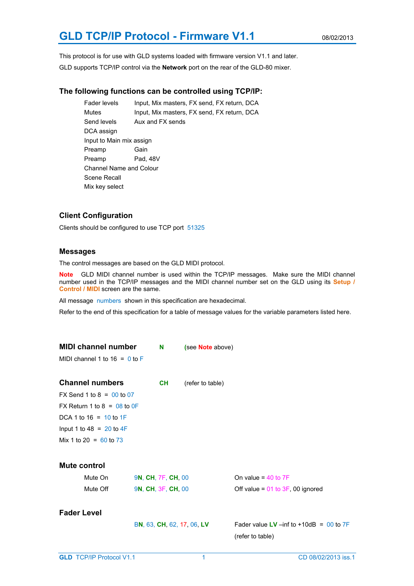# **GLD TCP/IP Protocol - Firmware V1.1** 08/02/2013

This protocol is for use with GLD systems loaded with firmware version V1.1 and later. GLD supports TCP/IP control via the **Network** port on the rear of the GLD-80 mixer.

#### **The following functions can be controlled using TCP/IP:**

Fader levels Input, Mix masters, FX send, FX return, DCA Mutes Input, Mix masters, FX send, FX return, DCA Send levels Aux and FX sends DCA assign Input to Main mix assign Preamp Gain Preamp Pad, 48V Channel Name and Colour Scene Recall Mix key select

# **Client Configuration**

Clients should be configured to use TCP port 51325

#### **Messages**

The control messages are based on the GLD MIDI protocol.

**Note** GLD MIDI channel number is used within the TCP/IP messages. Make sure the MIDI channel number used in the TCP/IP messages and the MIDI channel number set on the GLD using its **Setup / Control / MIDI** screen are the same.

All message numbers shown in this specification are hexadecimal.

Refer to the end of this specification for a table of message values for the variable parameters listed here.

| <b>MIDI channel number</b><br>MIDI channel 1 to $16 = 0$ to F                                                     | N                                        | (see Note above)           |                                                                  |
|-------------------------------------------------------------------------------------------------------------------|------------------------------------------|----------------------------|------------------------------------------------------------------|
| <b>Channel numbers</b><br>FX Send 1 to 8 = $00$ to 07                                                             | <b>CH</b>                                | (refer to table)           |                                                                  |
| FX Return 1 to 8 = $08$ to 0F<br>DCA 1 to 16 = $10$ to 1F<br>Input 1 to 48 = 20 to 4F<br>Mix 1 to 20 = $60$ to 73 |                                          |                            |                                                                  |
| <b>Mute control</b><br>Mute On<br>Mute Off                                                                        | 9N, CH, 7F, CH, 00<br>9N, CH, 3F, CH, 00 |                            | On value = $40$ to $7F$<br>Off value = $01$ to $3F$ , 00 ignored |
| <b>Fader Level</b>                                                                                                |                                          | BN, 63, CH, 62, 17, 06, LV | Fader value LV $-i$ nf to +10dB = 00 to 7F<br>(refer to table)   |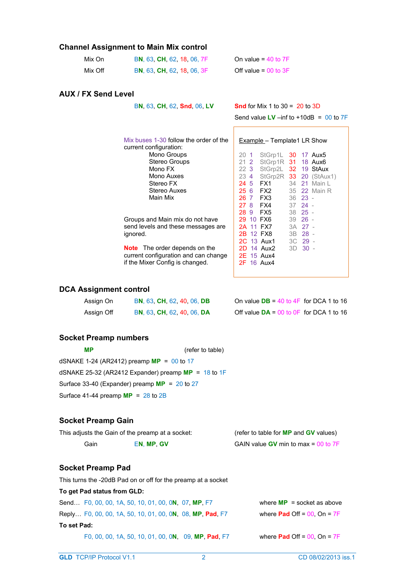# **Channel Assignment to Main Mix control**

| Mix On  | BN, 63, CH, 62, 18, 06, 7F | On value = $40$ to $7F$  |
|---------|----------------------------|--------------------------|
| Mix Off | BN, 63, CH, 62, 18, 06, 3F | Off value = $00$ to $3F$ |

#### **AUX / FX Send Level**

B**N**, 63, **CH**, 62, **Snd**, 06, **LV Snd** for Mix 1 to 30 = 20 to 3D

Send value  $LV$  –inf to  $+10dB = 00$  to  $7F$ 

| Mix buses 1-30 follow the order of the | Example – Template1 LR Show                               |
|----------------------------------------|-----------------------------------------------------------|
| current configuration:                 |                                                           |
| Mono Groups                            | $StGrp1L$ 30 17 Aux5<br>20 <sub>1</sub>                   |
| <b>Stereo Groups</b>                   | StGrp1R 31 18 Aux6<br>$21 \t2$                            |
| Mono FX                                | 223<br>StGrp2L 32 19 StAux                                |
| Mono Auxes                             | StGrp2R 33 20 (StAu)<br>23 4                              |
| Stereo FX                              | FX1<br>34 21 Main I<br>24 5                               |
| Stereo Auxes                           | FX2<br>256<br>35 22 Main I                                |
| Main Mix                               | FX3<br>26.7<br>$36 \t 23 -$                               |
|                                        | FX4<br>27 8<br>$3724 -$                                   |
|                                        | FX5<br>$38$ 25 -<br>28 9                                  |
| Groups and Main mix do not have        | 29 10 FX6<br>$39$ 26 -                                    |
| send levels and these messages are     | 2A 11 FX7<br>3A 27 -                                      |
| ignored.                               | 2B 12 FX8<br>3B 28 -                                      |
|                                        | 3C 29 -<br>2C 13 Aux1                                     |
| <b>Note</b> The order depends on the   | 2D 14 Aux2<br>$3D$ $30 -$                                 |
| auwant aanfinuwating and aan ahanaa    | $\cap$ $\Gamma$ $\land$ $\Gamma$ $\land$ $\ldots$ $\land$ |

current configuration and can change if the Mixer Config is changed.

# **DCA Assignment control**

| Assign On  | BN, 63, CH, 62, 40, 06, DB | On value $DB = 40$ to 4F for DCA 1 to 16    |
|------------|----------------------------|---------------------------------------------|
| Assign Off | BN, 63, CH, 62, 40, 06, DA | Off value $DA = 00$ to $0F$ for DCA 1 to 16 |

# **Socket Preamp numbers**

| <b>MP</b>                                                  | (refer to table) |
|------------------------------------------------------------|------------------|
| dSNAKE 1-24 (AR2412) preamp $MP = 00$ to 17                |                  |
| dSNAKE 25-32 (AR2412 Expander) preamp <b>MP</b> = 18 to 1F |                  |
| Surface 33-40 (Expander) preamp $MP = 20$ to 27            |                  |
| Surface 41-44 preamp $MP = 28$ to $2B$                     |                  |
|                                                            |                  |

This turns the -20dB Pad on or off for the preamp at a socket

#### **Socket Preamp Gain**

| This adjusts the Gain of the preamp at a socket: |            | (refer to table for <b>MP</b> and <b>GV</b> values) |
|--------------------------------------------------|------------|-----------------------------------------------------|
| Gain                                             | EN. MP. GV | GAIN value <b>GV</b> min to max = $00$ to $7F$      |
|                                                  |            |                                                     |

# **Socket Preamp Pad**

| To get Pad status from GLD:                               |                                         |
|-----------------------------------------------------------|-----------------------------------------|
| Send. F0, 00, 00, 1A, 50, 10, 01, 00, 0N, 07, MP, F7      | where $MP =$ socket as above            |
| Reply F0, 00, 00, 1A, 50, 10, 01, 00, 0N, 08, MP, Pad, F7 | where <b>Pad</b> Off = $00$ , On = $7F$ |
| To set Pad:                                               |                                         |
| F0, 00, 00, 1A, 50, 10, 01, 00, 0N, 09, MP, Pad, F7       | where <b>Pad</b> Off = $00$ , On = $7F$ |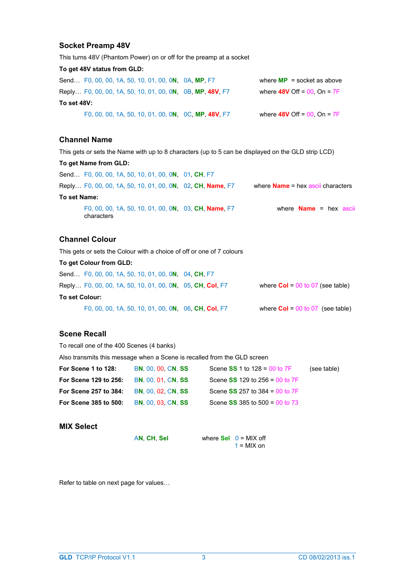# **Socket Preamp 48V**

This turns 48V (Phantom Power) on or off for the preamp at a socket **To get 48V status from GLD:**  Send… F0, 00, 00, 1A, 50, 10, 01, 00, 0**N**, 0A, **MP**, F7 where **MP** = socket as above Reply… F0, 00, 00, 1A, 50, 10, 01, 00, 0**N**, 0B, **MP**, **48V**, F7 where **48V** Off = 00, On = 7F **To set 48V:**  F0, 00, 00, 1A, 50, 10, 01, 00, 0**N**, 0C, **MP**, **48V**, F7 where **48V** Off = 00, On = 7F

# **Channel Name**

This gets or sets the Name with up to 8 characters (up to 5 can be displayed on the GLD strip LCD)

**To get Name from GLD:** 

|              |            |  | Send F0, 00, 00, 1A, 50, 10, 01, 00, 0N, 01, CH, F7        |                                           |
|--------------|------------|--|------------------------------------------------------------|-------------------------------------------|
|              |            |  | Reply F0, 00, 00, 1A, 50, 10, 01, 00, 0N, 02, CH, Name, F7 | where $Name = hex \, ascii \, characters$ |
| To set Name: |            |  |                                                            |                                           |
|              | characters |  | F0, 00, 00, 1A, 50, 10, 01, 00, 0N, 03, CH, Name, F7       | where $Name = hex$ ascii                  |

# **Channel Colour**

This gets or sets the Colour with a choice of off or one of 7 colours

**To get Colour from GLD:** 

| Send. F0, 00, 00, 1A, 50, 10, 01, 00, 0N, 04, CH, F7      |                                           |
|-----------------------------------------------------------|-------------------------------------------|
| Reply F0, 00, 00, 1A, 50, 10, 01, 00, 0N, 05, CH, Col, F7 | where $\text{Col} = 00$ to 07 (see table) |
| To set Colour:                                            |                                           |
| F0, 00, 00, 1A, 50, 10, 01, 00, 0N, 06, CH, Col, F7       | where $\text{Col} = 00$ to 07 (see table) |

# **Scene Recall**

| To recall one of the 400 Scenes (4 banks)                                |                            |                                  |             |  |
|--------------------------------------------------------------------------|----------------------------|----------------------------------|-------------|--|
| Also transmits this message when a Scene is recalled from the GLD screen |                            |                                  |             |  |
| For Scene 1 to 128:                                                      | <b>BN. 00. 00. CN. SS</b>  | Scene $SS$ 1 to 128 = 00 to 7F   | (see table) |  |
| For Scene 129 to 256:                                                    | <b>BN. 00. 01. CN. SS</b>  | Scene $SS$ 129 to 256 = 00 to 7F |             |  |
| For Scene 257 to 384:                                                    | <b>BN. 00. 02. CN. SS.</b> | Scene $SS$ 257 to 384 = 00 to 7F |             |  |
| For Scene 385 to 500:                                                    | <b>BN, 00, 03, CN, SS</b>  | Scene $SS$ 385 to 500 = 00 to 73 |             |  |
|                                                                          |                            |                                  |             |  |

#### **MIX Select**

A**N**, **CH**, **Sel** where **Sel** 0 = MIX off  $1 =$  MIX on

Refer to table on next page for values…